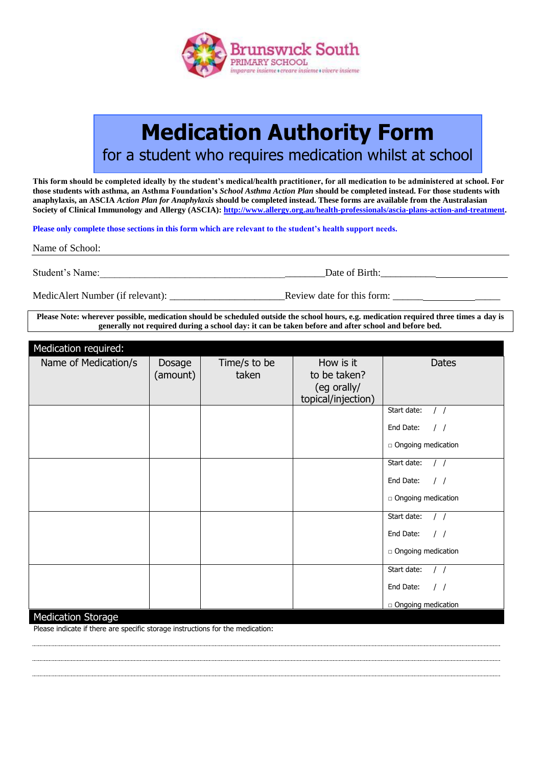

## **Medication Authority Form**

for a student who requires medication whilst at school

**This form should be completed ideally by the student's medical/health practitioner, for all medication to be administered at school. For those students with asthma, an Asthma Foundation's** *School Asthma Action Plan* **should be completed instead. For those students with anaphylaxis, an ASCIA** *Action Plan for Anaphylaxis* **should be completed instead. These forms are available from the Australasian Society of Clinical Immunology and Allergy (ASCIA): [http://www.allergy.org.au/health-professionals/ascia-plans-action-and-treatment.](http://www.allergy.org.au/health-professionals/ascia-plans-action-and-treatment)**

**Please only complete those sections in this form which are relevant to the student's health support needs.** 

Name of School:

Student's Name:\_\_\_\_\_\_\_\_\_\_\_\_\_\_\_\_\_\_\_\_\_\_\_\_\_\_\_\_\_\_\_\_\_\_\_\_\_\_\_\_\_\_\_\_\_Date of Birth:\_\_\_\_\_\_\_\_\_\_\_

MedicAlert Number (if relevant): \_\_\_\_\_\_\_\_\_\_\_\_\_\_\_\_\_\_\_\_\_\_\_Review date for this form: \_\_\_\_\_\_ \_\_\_\_\_

**Please Note: wherever possible, medication should be scheduled outside the school hours, e.g. medication required three times a day is generally not required during a school day: it can be taken before and after school and before bed.**

| Medication required:      |          |              |                    |                                  |
|---------------------------|----------|--------------|--------------------|----------------------------------|
| Name of Medication/s      | Dosage   | Time/s to be | How is it          | Dates                            |
|                           | (amount) | taken        | to be taken?       |                                  |
|                           |          |              | (eg orally/        |                                  |
|                           |          |              | topical/injection) |                                  |
|                           |          |              |                    | Start date:<br>$\frac{1}{2}$     |
|                           |          |              |                    | End Date:<br>$\frac{1}{2}$       |
|                           |          |              |                    | □ Ongoing medication             |
|                           |          |              |                    | Start date:<br>$\frac{1}{2}$     |
|                           |          |              |                    | End Date:<br>$\prime$ /          |
|                           |          |              |                    | □ Ongoing medication             |
|                           |          |              |                    | Start date:<br>$\prime$ $\prime$ |
|                           |          |              |                    | End Date:<br>$\frac{1}{2}$       |
|                           |          |              |                    | □ Ongoing medication             |
|                           |          |              |                    | Start date:                      |
|                           |          |              |                    | End Date:<br>$\frac{1}{2}$       |
|                           |          |              |                    | □ Ongoing medication             |
| <b>Medication Storage</b> |          |              |                    |                                  |

Please indicate if there are specific storage instructions for the medication: